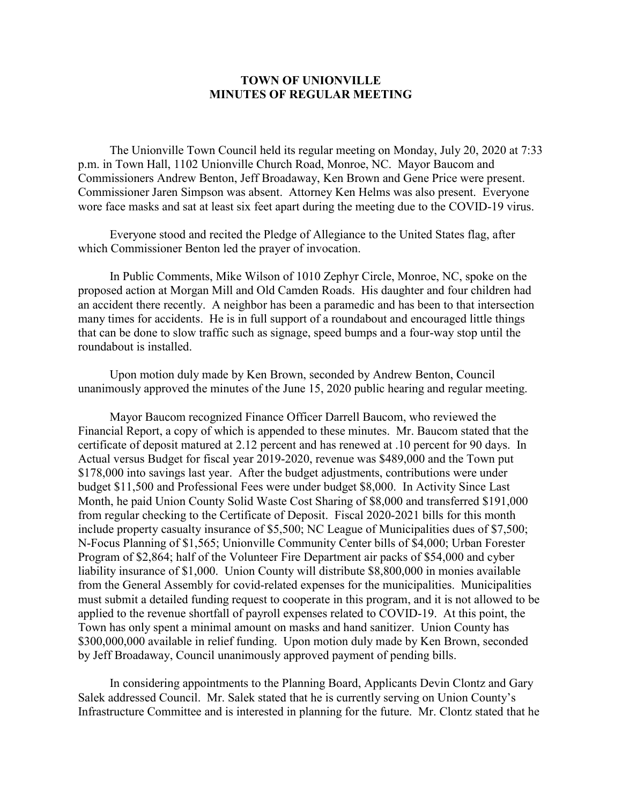## **TOWN OF UNIONVILLE MINUTES OF REGULAR MEETING**

The Unionville Town Council held its regular meeting on Monday, July 20, 2020 at 7:33 p.m. in Town Hall, 1102 Unionville Church Road, Monroe, NC. Mayor Baucom and Commissioners Andrew Benton, Jeff Broadaway, Ken Brown and Gene Price were present. Commissioner Jaren Simpson was absent. Attorney Ken Helms was also present. Everyone wore face masks and sat at least six feet apart during the meeting due to the COVID-19 virus.

Everyone stood and recited the Pledge of Allegiance to the United States flag, after which Commissioner Benton led the prayer of invocation.

In Public Comments, Mike Wilson of 1010 Zephyr Circle, Monroe, NC, spoke on the proposed action at Morgan Mill and Old Camden Roads. His daughter and four children had an accident there recently. A neighbor has been a paramedic and has been to that intersection many times for accidents. He is in full support of a roundabout and encouraged little things that can be done to slow traffic such as signage, speed bumps and a four-way stop until the roundabout is installed.

Upon motion duly made by Ken Brown, seconded by Andrew Benton, Council unanimously approved the minutes of the June 15, 2020 public hearing and regular meeting.

Mayor Baucom recognized Finance Officer Darrell Baucom, who reviewed the Financial Report, a copy of which is appended to these minutes. Mr. Baucom stated that the certificate of deposit matured at 2.12 percent and has renewed at .10 percent for 90 days. In Actual versus Budget for fiscal year 2019-2020, revenue was \$489,000 and the Town put \$178,000 into savings last year. After the budget adjustments, contributions were under budget \$11,500 and Professional Fees were under budget \$8,000. In Activity Since Last Month, he paid Union County Solid Waste Cost Sharing of \$8,000 and transferred \$191,000 from regular checking to the Certificate of Deposit. Fiscal 2020-2021 bills for this month include property casualty insurance of \$5,500; NC League of Municipalities dues of \$7,500; N-Focus Planning of \$1,565; Unionville Community Center bills of \$4,000; Urban Forester Program of \$2,864; half of the Volunteer Fire Department air packs of \$54,000 and cyber liability insurance of \$1,000. Union County will distribute \$8,800,000 in monies available from the General Assembly for covid-related expenses for the municipalities. Municipalities must submit a detailed funding request to cooperate in this program, and it is not allowed to be applied to the revenue shortfall of payroll expenses related to COVID-19. At this point, the Town has only spent a minimal amount on masks and hand sanitizer. Union County has \$300,000,000 available in relief funding. Upon motion duly made by Ken Brown, seconded by Jeff Broadaway, Council unanimously approved payment of pending bills.

In considering appointments to the Planning Board, Applicants Devin Clontz and Gary Salek addressed Council. Mr. Salek stated that he is currently serving on Union County's Infrastructure Committee and is interested in planning for the future. Mr. Clontz stated that he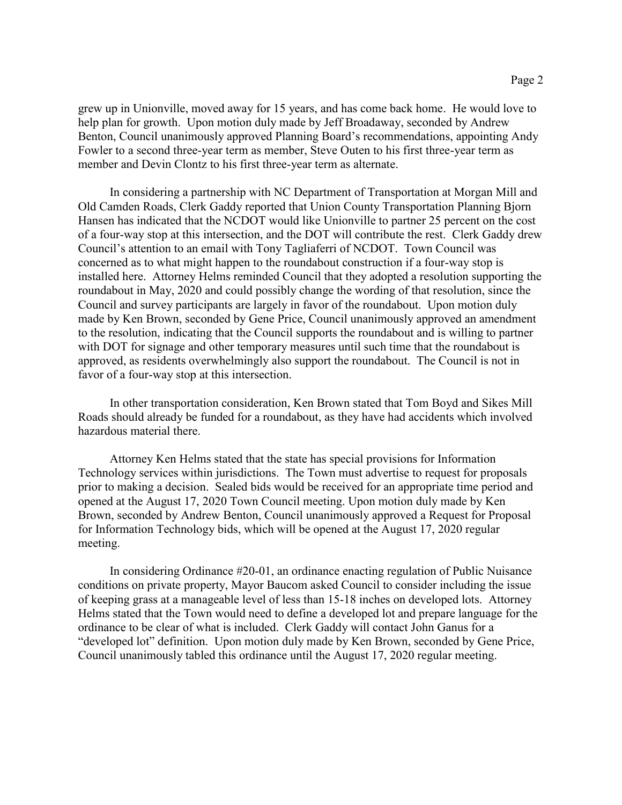grew up in Unionville, moved away for 15 years, and has come back home. He would love to help plan for growth. Upon motion duly made by Jeff Broadaway, seconded by Andrew Benton, Council unanimously approved Planning Board's recommendations, appointing Andy Fowler to a second three-year term as member, Steve Outen to his first three-year term as member and Devin Clontz to his first three-year term as alternate.

In considering a partnership with NC Department of Transportation at Morgan Mill and Old Camden Roads, Clerk Gaddy reported that Union County Transportation Planning Bjorn Hansen has indicated that the NCDOT would like Unionville to partner 25 percent on the cost of a four-way stop at this intersection, and the DOT will contribute the rest. Clerk Gaddy drew Council's attention to an email with Tony Tagliaferri of NCDOT. Town Council was concerned as to what might happen to the roundabout construction if a four-way stop is installed here. Attorney Helms reminded Council that they adopted a resolution supporting the roundabout in May, 2020 and could possibly change the wording of that resolution, since the Council and survey participants are largely in favor of the roundabout. Upon motion duly made by Ken Brown, seconded by Gene Price, Council unanimously approved an amendment to the resolution, indicating that the Council supports the roundabout and is willing to partner with DOT for signage and other temporary measures until such time that the roundabout is approved, as residents overwhelmingly also support the roundabout. The Council is not in favor of a four-way stop at this intersection.

In other transportation consideration, Ken Brown stated that Tom Boyd and Sikes Mill Roads should already be funded for a roundabout, as they have had accidents which involved hazardous material there.

Attorney Ken Helms stated that the state has special provisions for Information Technology services within jurisdictions. The Town must advertise to request for proposals prior to making a decision. Sealed bids would be received for an appropriate time period and opened at the August 17, 2020 Town Council meeting. Upon motion duly made by Ken Brown, seconded by Andrew Benton, Council unanimously approved a Request for Proposal for Information Technology bids, which will be opened at the August 17, 2020 regular meeting.

In considering Ordinance #20-01, an ordinance enacting regulation of Public Nuisance conditions on private property, Mayor Baucom asked Council to consider including the issue of keeping grass at a manageable level of less than 15-18 inches on developed lots. Attorney Helms stated that the Town would need to define a developed lot and prepare language for the ordinance to be clear of what is included. Clerk Gaddy will contact John Ganus for a "developed lot" definition. Upon motion duly made by Ken Brown, seconded by Gene Price, Council unanimously tabled this ordinance until the August 17, 2020 regular meeting.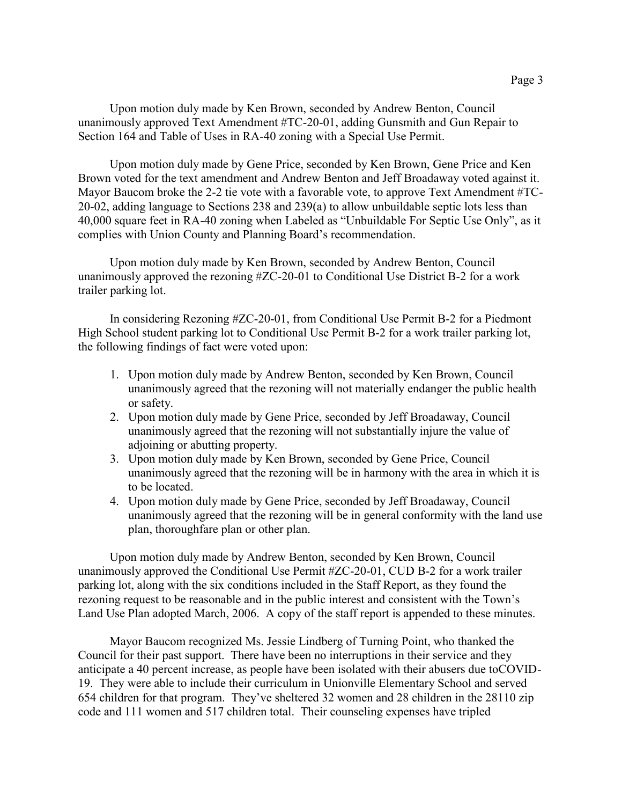Upon motion duly made by Ken Brown, seconded by Andrew Benton, Council unanimously approved Text Amendment #TC-20-01, adding Gunsmith and Gun Repair to Section 164 and Table of Uses in RA-40 zoning with a Special Use Permit.

Upon motion duly made by Gene Price, seconded by Ken Brown, Gene Price and Ken Brown voted for the text amendment and Andrew Benton and Jeff Broadaway voted against it. Mayor Baucom broke the 2-2 tie vote with a favorable vote, to approve Text Amendment #TC-20-02, adding language to Sections 238 and 239(a) to allow unbuildable septic lots less than 40,000 square feet in RA-40 zoning when Labeled as "Unbuildable For Septic Use Only", as it complies with Union County and Planning Board's recommendation.

Upon motion duly made by Ken Brown, seconded by Andrew Benton, Council unanimously approved the rezoning #ZC-20-01 to Conditional Use District B-2 for a work trailer parking lot.

In considering Rezoning #ZC-20-01, from Conditional Use Permit B-2 for a Piedmont High School student parking lot to Conditional Use Permit B-2 for a work trailer parking lot, the following findings of fact were voted upon:

- 1. Upon motion duly made by Andrew Benton, seconded by Ken Brown, Council unanimously agreed that the rezoning will not materially endanger the public health or safety.
- 2. Upon motion duly made by Gene Price, seconded by Jeff Broadaway, Council unanimously agreed that the rezoning will not substantially injure the value of adjoining or abutting property.
- 3. Upon motion duly made by Ken Brown, seconded by Gene Price, Council unanimously agreed that the rezoning will be in harmony with the area in which it is to be located.
- 4. Upon motion duly made by Gene Price, seconded by Jeff Broadaway, Council unanimously agreed that the rezoning will be in general conformity with the land use plan, thoroughfare plan or other plan.

Upon motion duly made by Andrew Benton, seconded by Ken Brown, Council unanimously approved the Conditional Use Permit #ZC-20-01, CUD B-2 for a work trailer parking lot, along with the six conditions included in the Staff Report, as they found the rezoning request to be reasonable and in the public interest and consistent with the Town's Land Use Plan adopted March, 2006. A copy of the staff report is appended to these minutes.

Mayor Baucom recognized Ms. Jessie Lindberg of Turning Point, who thanked the Council for their past support. There have been no interruptions in their service and they anticipate a 40 percent increase, as people have been isolated with their abusers due toCOVID-19. They were able to include their curriculum in Unionville Elementary School and served 654 children for that program. They've sheltered 32 women and 28 children in the 28110 zip code and 111 women and 517 children total. Their counseling expenses have tripled